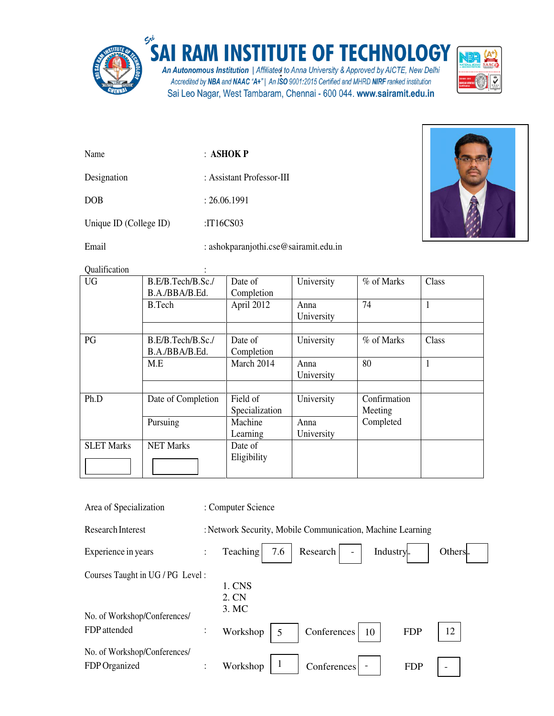

## SAI RAM INSTITUTE OF TECHNOLOGY

An Autonomous Institution | Affiliated to Anna University & Approved by AICTE, New Delhi<br>Accredited by NBA and NAAC "A+" | An ISO 9001:2015 Certified and MHRD NIRF ranked institution Sai Leo Nagar, West Tambaram, Chennai - 600 044. www.sairamit.edu.in



| Name        | $\pm$ ASHOK P             |
|-------------|---------------------------|
| Designation | : Assistant Professor-III |
| <b>DOB</b>  | : 26.06.1991              |

Unique ID (College ID) :IT16CS03

Email : ashokparanjothi.cse@sairamit.edu.in



Qualification :

| Class<br>% of Marks |
|---------------------|
|                     |
|                     |
| 74<br>1             |
|                     |
|                     |
| % of Marks<br>Class |
|                     |
| 80                  |
|                     |
|                     |
| Confirmation        |
| Meeting             |
| Completed           |
|                     |
|                     |
|                     |
|                     |
|                     |

| Area of Specialization                                            |                | : Computer Science                                         |
|-------------------------------------------------------------------|----------------|------------------------------------------------------------|
| <b>Research Interest</b>                                          |                | : Network Security, Mobile Communication, Machine Learning |
| Experience in years                                               | $\ddot{\cdot}$ | Teaching<br>Research<br>7.6<br>Industry-<br>Others.        |
| Courses Taught in UG / PG Level :<br>No. of Workshop/Conferences/ |                | 1. CNS<br>2. CN<br>3. MC                                   |
| FDP attended                                                      | $\vdots$       | 12<br>Workshop<br>Conferences<br>10<br><b>FDP</b><br>5     |
| No. of Workshop/Conferences/<br>FDP Organized                     | $\bullet$      | Workshop<br>Conferences<br><b>FDP</b><br>$\qquad \qquad$   |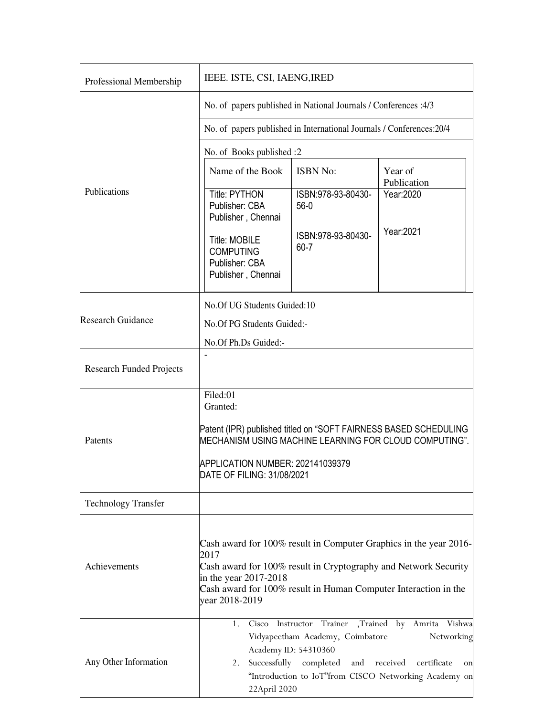| Professional Membership         | IEEE. ISTE, CSI, IAENG, IRED                                                                                                                                                                                                                                 |                                                                                           |                                                                                                                                                       |  |  |
|---------------------------------|--------------------------------------------------------------------------------------------------------------------------------------------------------------------------------------------------------------------------------------------------------------|-------------------------------------------------------------------------------------------|-------------------------------------------------------------------------------------------------------------------------------------------------------|--|--|
|                                 | No. of papers published in National Journals / Conferences :4/3                                                                                                                                                                                              |                                                                                           |                                                                                                                                                       |  |  |
|                                 | No. of papers published in International Journals / Conferences: 20/4                                                                                                                                                                                        |                                                                                           |                                                                                                                                                       |  |  |
|                                 | No. of Books published :2                                                                                                                                                                                                                                    |                                                                                           |                                                                                                                                                       |  |  |
| Publications                    | Name of the Book                                                                                                                                                                                                                                             | <b>ISBN No:</b>                                                                           | Year of<br>Publication                                                                                                                                |  |  |
|                                 | <b>Title: PYTHON</b><br>Publisher: CBA<br>Publisher, Chennai                                                                                                                                                                                                 | ISBN:978-93-80430-<br>$56-0$                                                              | Year:2020                                                                                                                                             |  |  |
|                                 | <b>Title: MOBILE</b><br><b>COMPUTING</b><br>Publisher: CBA<br>Publisher, Chennai                                                                                                                                                                             | ISBN:978-93-80430-<br>$60 - 7$                                                            | Year: 2021                                                                                                                                            |  |  |
| <b>Research Guidance</b>        | No.Of UG Students Guided:10                                                                                                                                                                                                                                  |                                                                                           |                                                                                                                                                       |  |  |
|                                 | No.Of PG Students Guided:-                                                                                                                                                                                                                                   |                                                                                           |                                                                                                                                                       |  |  |
|                                 | No.Of Ph.Ds Guided:-                                                                                                                                                                                                                                         |                                                                                           |                                                                                                                                                       |  |  |
| <b>Research Funded Projects</b> |                                                                                                                                                                                                                                                              |                                                                                           |                                                                                                                                                       |  |  |
| Patents                         | Filed:01<br>Granted:                                                                                                                                                                                                                                         |                                                                                           |                                                                                                                                                       |  |  |
|                                 | Patent (IPR) published titled on "SOFT FAIRNESS BASED SCHEDULING<br>MECHANISM USING MACHINE LEARNING FOR CLOUD COMPUTING".                                                                                                                                   |                                                                                           |                                                                                                                                                       |  |  |
|                                 | APPLICATION NUMBER: 202141039379<br>DATE OF FILING: 31/08/2021                                                                                                                                                                                               |                                                                                           |                                                                                                                                                       |  |  |
| <b>Technology Transfer</b>      |                                                                                                                                                                                                                                                              |                                                                                           |                                                                                                                                                       |  |  |
| Achievements                    | Cash award for 100% result in Computer Graphics in the year 2016-<br>2017<br>Cash award for 100% result in Cryptography and Network Security<br>in the year $2017-2018$<br>Cash award for 100% result in Human Computer Interaction in the<br>year 2018-2019 |                                                                                           |                                                                                                                                                       |  |  |
| Any Other Information           | 1.<br>Cisco<br>2.<br>22April 2020                                                                                                                                                                                                                            | Vidyapeetham Academy, Coimbatore<br>Academy ID: 54310360<br>Successfully completed<br>and | Instructor Trainer , Trained by Amrita Vishwa<br>Networking<br>received<br>certificate<br>on<br>"Introduction to IoT"from CISCO Networking Academy on |  |  |